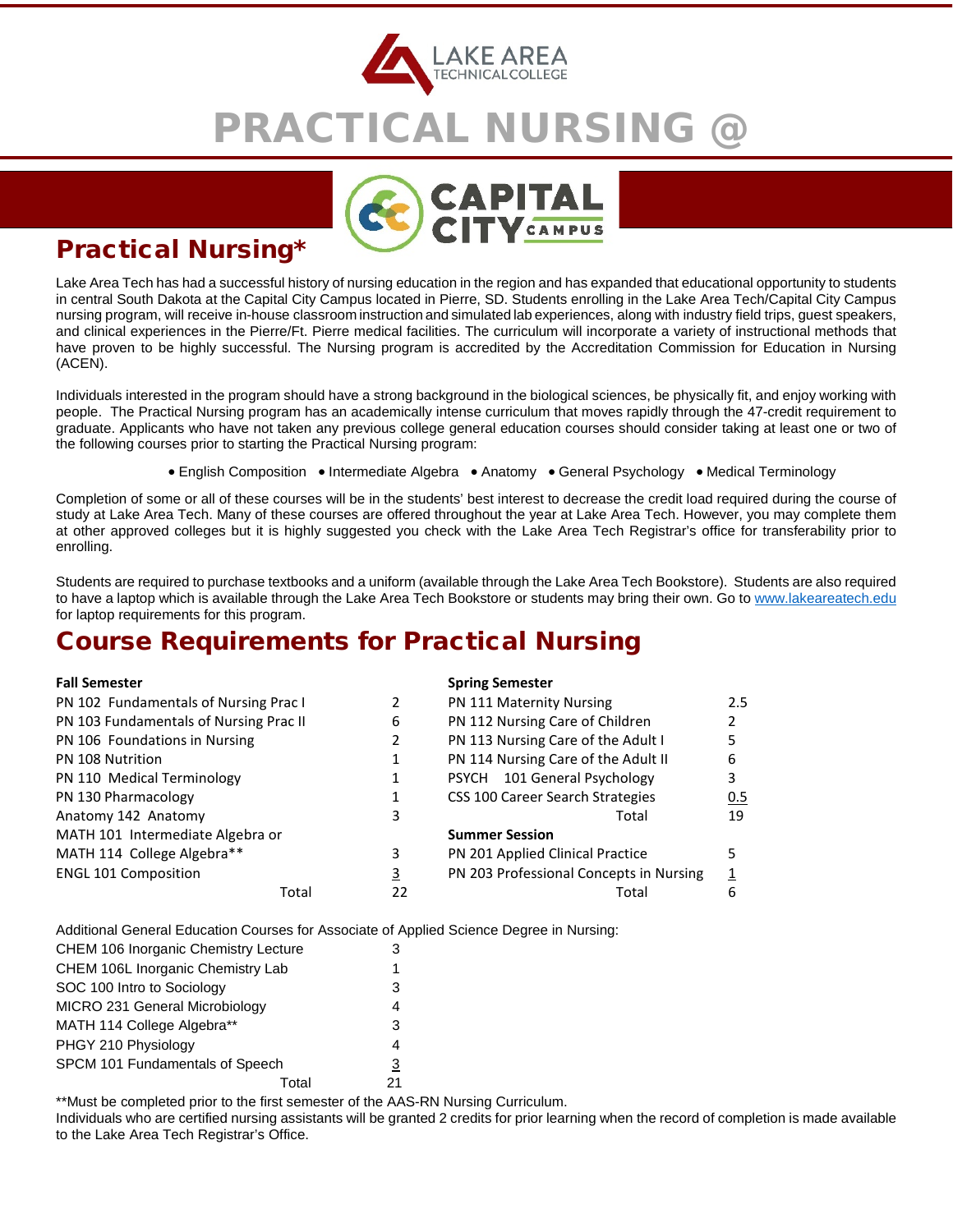

# PRACTICAL NURSING @



### Practical Nursing\*

Lake Area Tech has had a successful history of nursing education in the region and has expanded that educational opportunity to students in central South Dakota at the Capital City Campus located in Pierre, SD. Students enrolling in the Lake Area Tech/Capital City Campus nursing program, will receive in-house classroom instruction and simulated lab experiences, along with industry field trips, guest speakers, and clinical experiences in the Pierre/Ft. Pierre medical facilities. The curriculum will incorporate a variety of instructional methods that have proven to be highly successful. The Nursing program is accredited by the Accreditation Commission for Education in Nursing (ACEN).

Individuals interested in the program should have a strong background in the biological sciences, be physically fit, and enjoy working with people. The Practical Nursing program has an academically intense curriculum that moves rapidly through the 47-credit requirement to graduate. Applicants who have not taken any previous college general education courses should consider taking at least one or two of the following courses prior to starting the Practical Nursing program:

• English Composition • Intermediate Algebra • Anatomy • General Psychology • Medical Terminology

Completion of some or all of these courses will be in the students' best interest to decrease the credit load required during the course of study at Lake Area Tech. Many of these courses are offered throughout the year at Lake Area Tech. However, you may complete them at other approved colleges but it is highly suggested you check with the Lake Area Tech Registrar's office for transferability prior to enrolling.

Students are required to purchase textbooks and a uniform (available through the Lake Area Tech Bookstore). Students are also required to have a laptop which is available through the Lake Area Tech Bookstore or students may bring their own. Go to [www.lakeareatech.edu](http://www.lakeareatech.edu/) for laptop requirements for this program.

### Course Requirements for Practical Nursing

| <b>Fall Semester</b>                   |             | <b>Spring Semester</b>                   |     |
|----------------------------------------|-------------|------------------------------------------|-----|
| PN 102 Fundamentals of Nursing Prac I  |             | PN 111 Maternity Nursing                 | 2.5 |
| PN 103 Fundamentals of Nursing Prac II | 6           | PN 112 Nursing Care of Children          |     |
| PN 106 Foundations in Nursing          |             | PN 113 Nursing Care of the Adult I       |     |
| PN 108 Nutrition                       |             | PN 114 Nursing Care of the Adult II<br>6 |     |
| PN 110 Medical Terminology             |             | PSYCH 101 General Psychology<br>3        |     |
| PN 130 Pharmacology                    |             | CSS 100 Career Search Strategies         | 0.5 |
| Anatomy 142 Anatomy                    | 3           | Total                                    | 19  |
| MATH 101 Intermediate Algebra or       |             | <b>Summer Session</b>                    |     |
| MATH 114 College Algebra**             | 3           | PN 201 Applied Clinical Practice         |     |
| <b>ENGL 101 Composition</b>            | 3           | PN 203 Professional Concepts in Nursing  |     |
|                                        | Total<br>22 | Total<br>6                               |     |

Additional General Education Courses for Associate of Applied Science Degree in Nursing:

| <b>CHEM 106 Inorganic Chemistry Lecture</b> | 3  |
|---------------------------------------------|----|
| CHEM 106L Inorganic Chemistry Lab           | 1  |
| SOC 100 Intro to Sociology                  | 3  |
| MICRO 231 General Microbiology              | 4  |
| MATH 114 College Algebra**                  | 3  |
| PHGY 210 Physiology                         | 4  |
| SPCM 101 Fundamentals of Speech             | 3  |
| Total                                       | 21 |

\*\*Must be completed prior to the first semester of the AAS-RN Nursing Curriculum.

Individuals who are certified nursing assistants will be granted 2 credits for prior learning when the record of completion is made available to the Lake Area Tech Registrar's Office.